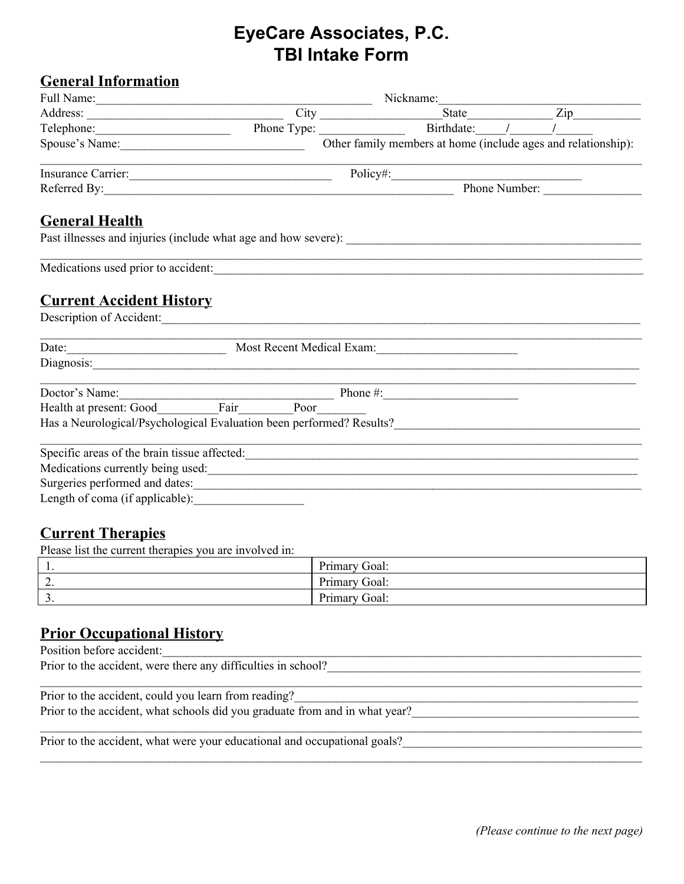## **EyeCare Associates, P.C. TBI Intake Form**

## **General Information**

|                                 | Nickname:                                                                                                            |                                                                                                                                                                                                                                |               |  |  |  |
|---------------------------------|----------------------------------------------------------------------------------------------------------------------|--------------------------------------------------------------------------------------------------------------------------------------------------------------------------------------------------------------------------------|---------------|--|--|--|
|                                 |                                                                                                                      | Address: City City State Zip                                                                                                                                                                                                   |               |  |  |  |
|                                 |                                                                                                                      |                                                                                                                                                                                                                                |               |  |  |  |
| Spouse's Name: 2008             |                                                                                                                      | Other family members at home (include ages and relationship):                                                                                                                                                                  |               |  |  |  |
|                                 | <u> 1989 - Jan James James, martin de filozof, martin de filozof, martin de filozof, martin de filozof, martin d</u> | Insurance Carrier: Policy#: Policy#:                                                                                                                                                                                           |               |  |  |  |
|                                 |                                                                                                                      |                                                                                                                                                                                                                                | Phone Number: |  |  |  |
| <b>General Health</b>           |                                                                                                                      |                                                                                                                                                                                                                                |               |  |  |  |
|                                 |                                                                                                                      |                                                                                                                                                                                                                                |               |  |  |  |
|                                 |                                                                                                                      | Medications used prior to accident:                                                                                                                                                                                            |               |  |  |  |
| <b>Current Accident History</b> |                                                                                                                      |                                                                                                                                                                                                                                |               |  |  |  |
|                                 |                                                                                                                      | Description of Accident:                                                                                                                                                                                                       |               |  |  |  |
|                                 |                                                                                                                      | Date: Most Recent Medical Exam:                                                                                                                                                                                                |               |  |  |  |
|                                 |                                                                                                                      | Diagnosis: and the contract of the contract of the contract of the contract of the contract of the contract of the contract of the contract of the contract of the contract of the contract of the contract of the contract of |               |  |  |  |
|                                 |                                                                                                                      |                                                                                                                                                                                                                                |               |  |  |  |
|                                 |                                                                                                                      |                                                                                                                                                                                                                                |               |  |  |  |
|                                 |                                                                                                                      |                                                                                                                                                                                                                                |               |  |  |  |
|                                 |                                                                                                                      |                                                                                                                                                                                                                                |               |  |  |  |
|                                 |                                                                                                                      | Medications currently being used:<br><u>Medications</u> currently being used:                                                                                                                                                  |               |  |  |  |
|                                 |                                                                                                                      | Surgeries performed and dates:                                                                                                                                                                                                 |               |  |  |  |
| Length of coma (if applicable): |                                                                                                                      |                                                                                                                                                                                                                                |               |  |  |  |
| <b>Current Therapies</b>        |                                                                                                                      |                                                                                                                                                                                                                                |               |  |  |  |

Please list the current therapies you are involved in:

| . .      | Primary C<br>Goal:                                 |
|----------|----------------------------------------------------|
| <u>.</u> | Primary<br>Goal:                                   |
| <u>.</u> | $\mathbf{r}$<br>$\tilde{\ }$<br>Goal:<br>Primary C |

 $\mathcal{L}_\mathcal{L} = \mathcal{L}_\mathcal{L} = \mathcal{L}_\mathcal{L} = \mathcal{L}_\mathcal{L} = \mathcal{L}_\mathcal{L} = \mathcal{L}_\mathcal{L} = \mathcal{L}_\mathcal{L} = \mathcal{L}_\mathcal{L} = \mathcal{L}_\mathcal{L} = \mathcal{L}_\mathcal{L} = \mathcal{L}_\mathcal{L} = \mathcal{L}_\mathcal{L} = \mathcal{L}_\mathcal{L} = \mathcal{L}_\mathcal{L} = \mathcal{L}_\mathcal{L} = \mathcal{L}_\mathcal{L} = \mathcal{L}_\mathcal{L}$ 

 $\mathcal{L}_\mathcal{L} = \mathcal{L}_\mathcal{L} = \mathcal{L}_\mathcal{L} = \mathcal{L}_\mathcal{L} = \mathcal{L}_\mathcal{L} = \mathcal{L}_\mathcal{L} = \mathcal{L}_\mathcal{L} = \mathcal{L}_\mathcal{L} = \mathcal{L}_\mathcal{L} = \mathcal{L}_\mathcal{L} = \mathcal{L}_\mathcal{L} = \mathcal{L}_\mathcal{L} = \mathcal{L}_\mathcal{L} = \mathcal{L}_\mathcal{L} = \mathcal{L}_\mathcal{L} = \mathcal{L}_\mathcal{L} = \mathcal{L}_\mathcal{L}$ 

 $\mathcal{L}_\mathcal{L} = \mathcal{L}_\mathcal{L} = \mathcal{L}_\mathcal{L} = \mathcal{L}_\mathcal{L} = \mathcal{L}_\mathcal{L} = \mathcal{L}_\mathcal{L} = \mathcal{L}_\mathcal{L} = \mathcal{L}_\mathcal{L} = \mathcal{L}_\mathcal{L} = \mathcal{L}_\mathcal{L} = \mathcal{L}_\mathcal{L} = \mathcal{L}_\mathcal{L} = \mathcal{L}_\mathcal{L} = \mathcal{L}_\mathcal{L} = \mathcal{L}_\mathcal{L} = \mathcal{L}_\mathcal{L} = \mathcal{L}_\mathcal{L}$ 

## **Prior Occupational History**

Position before accident: Prior to the accident, were there any difficulties in school?

Prior to the accident, could you learn from reading? Prior to the accident, what schools did you graduate from and in what year?

Prior to the accident, what were your educational and occupational goals?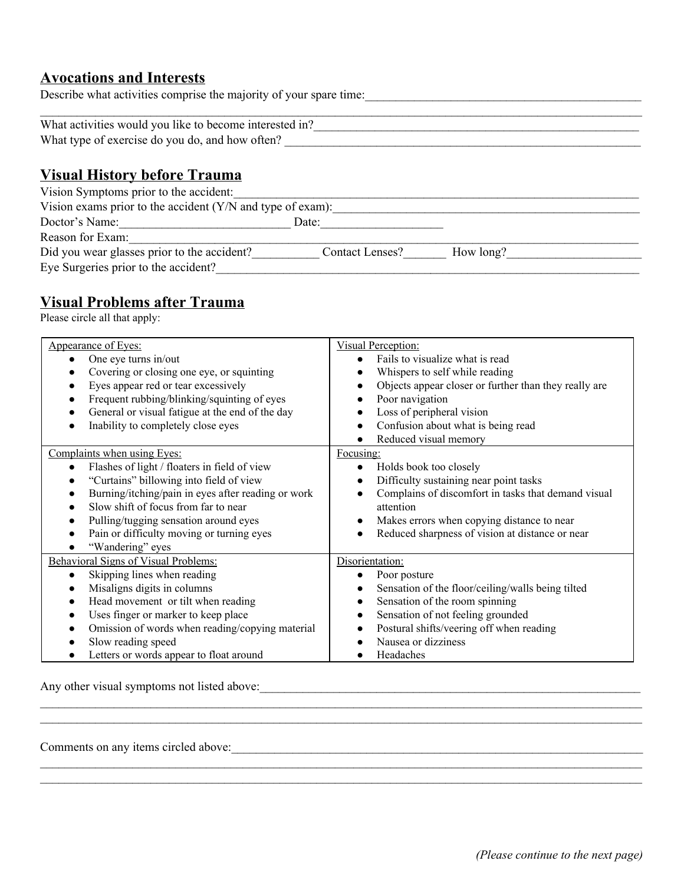#### **Avocations and Interests**

Describe what activities comprise the majority of your spare time:

| What activities would you like to become interested in? |  |
|---------------------------------------------------------|--|
| What type of exercise do you do, and how often?         |  |

## **Visual History before Trauma**

| Vision Symptoms prior to the accident:                        |                 |           |  |  |  |  |  |  |
|---------------------------------------------------------------|-----------------|-----------|--|--|--|--|--|--|
| Vision exams prior to the accident $(Y/N)$ and type of exam): |                 |           |  |  |  |  |  |  |
| Doctor's Name:                                                | Date:           |           |  |  |  |  |  |  |
| Reason for Exam:                                              |                 |           |  |  |  |  |  |  |
| Did you wear glasses prior to the accident?                   | Contact Lenses? | How long? |  |  |  |  |  |  |
| Eye Surgeries prior to the accident?                          |                 |           |  |  |  |  |  |  |

## **Visual Problems after Trauma**

Please circle all that apply:

| Appearance of Eyes:                                             | Visual Perception:                                    |
|-----------------------------------------------------------------|-------------------------------------------------------|
| One eye turns in/out                                            | Fails to visualize what is read                       |
| Covering or closing one eye, or squinting                       | Whispers to self while reading                        |
| Eyes appear red or tear excessively<br>$\bullet$                | Objects appear closer or further than they really are |
| Frequent rubbing/blinking/squinting of eyes<br>$\bullet$        | Poor navigation                                       |
| General or visual fatigue at the end of the day                 | Loss of peripheral vision                             |
| Inability to completely close eyes                              | Confusion about what is being read                    |
|                                                                 | Reduced visual memory                                 |
| Complaints when using Eyes:                                     | Focusing:                                             |
| Flashes of light / floaters in field of view<br>$\bullet$       | Holds book too closely                                |
| "Curtains" billowing into field of view                         | Difficulty sustaining near point tasks                |
| Burning/itching/pain in eyes after reading or work<br>$\bullet$ | Complains of discomfort in tasks that demand visual   |
| Slow shift of focus from far to near                            | attention                                             |
| Pulling/tugging sensation around eyes                           | Makes errors when copying distance to near            |
| Pain or difficulty moving or turning eyes                       | Reduced sharpness of vision at distance or near       |
| "Wandering" eyes                                                |                                                       |
| Behavioral Signs of Visual Problems:                            | Disorientation:                                       |
| Skipping lines when reading<br>$\bullet$                        | Poor posture                                          |
| Misaligns digits in columns                                     | Sensation of the floor/ceiling/walls being tilted     |
| Head movement or tilt when reading<br>$\bullet$                 | Sensation of the room spinning                        |
| Uses finger or marker to keep place<br>$\bullet$                | Sensation of not feeling grounded                     |
| Omission of words when reading/copying material                 | Postural shifts/veering off when reading              |
| Slow reading speed                                              | Nausea or dizziness                                   |
| Letters or words appear to float around                         | Headaches                                             |

 $\mathcal{L}_\mathcal{L} = \mathcal{L}_\mathcal{L} = \mathcal{L}_\mathcal{L} = \mathcal{L}_\mathcal{L} = \mathcal{L}_\mathcal{L} = \mathcal{L}_\mathcal{L} = \mathcal{L}_\mathcal{L} = \mathcal{L}_\mathcal{L} = \mathcal{L}_\mathcal{L} = \mathcal{L}_\mathcal{L} = \mathcal{L}_\mathcal{L} = \mathcal{L}_\mathcal{L} = \mathcal{L}_\mathcal{L} = \mathcal{L}_\mathcal{L} = \mathcal{L}_\mathcal{L} = \mathcal{L}_\mathcal{L} = \mathcal{L}_\mathcal{L}$ 

 $\mathcal{L}_\mathcal{L} = \mathcal{L}_\mathcal{L} = \mathcal{L}_\mathcal{L} = \mathcal{L}_\mathcal{L} = \mathcal{L}_\mathcal{L} = \mathcal{L}_\mathcal{L} = \mathcal{L}_\mathcal{L} = \mathcal{L}_\mathcal{L} = \mathcal{L}_\mathcal{L} = \mathcal{L}_\mathcal{L} = \mathcal{L}_\mathcal{L} = \mathcal{L}_\mathcal{L} = \mathcal{L}_\mathcal{L} = \mathcal{L}_\mathcal{L} = \mathcal{L}_\mathcal{L} = \mathcal{L}_\mathcal{L} = \mathcal{L}_\mathcal{L}$  $\mathcal{L}_\mathcal{L} = \mathcal{L}_\mathcal{L} = \mathcal{L}_\mathcal{L} = \mathcal{L}_\mathcal{L} = \mathcal{L}_\mathcal{L} = \mathcal{L}_\mathcal{L} = \mathcal{L}_\mathcal{L} = \mathcal{L}_\mathcal{L} = \mathcal{L}_\mathcal{L} = \mathcal{L}_\mathcal{L} = \mathcal{L}_\mathcal{L} = \mathcal{L}_\mathcal{L} = \mathcal{L}_\mathcal{L} = \mathcal{L}_\mathcal{L} = \mathcal{L}_\mathcal{L} = \mathcal{L}_\mathcal{L} = \mathcal{L}_\mathcal{L}$ 

Any other visual symptoms not listed above:

Comments on any items circled above:\_\_\_\_\_\_\_\_\_\_\_\_\_\_\_\_\_\_\_\_\_\_\_\_\_\_\_\_\_\_\_\_\_\_\_\_\_\_\_\_\_\_\_\_\_\_\_\_\_\_\_\_\_\_\_\_\_\_\_\_\_\_\_\_\_\_\_